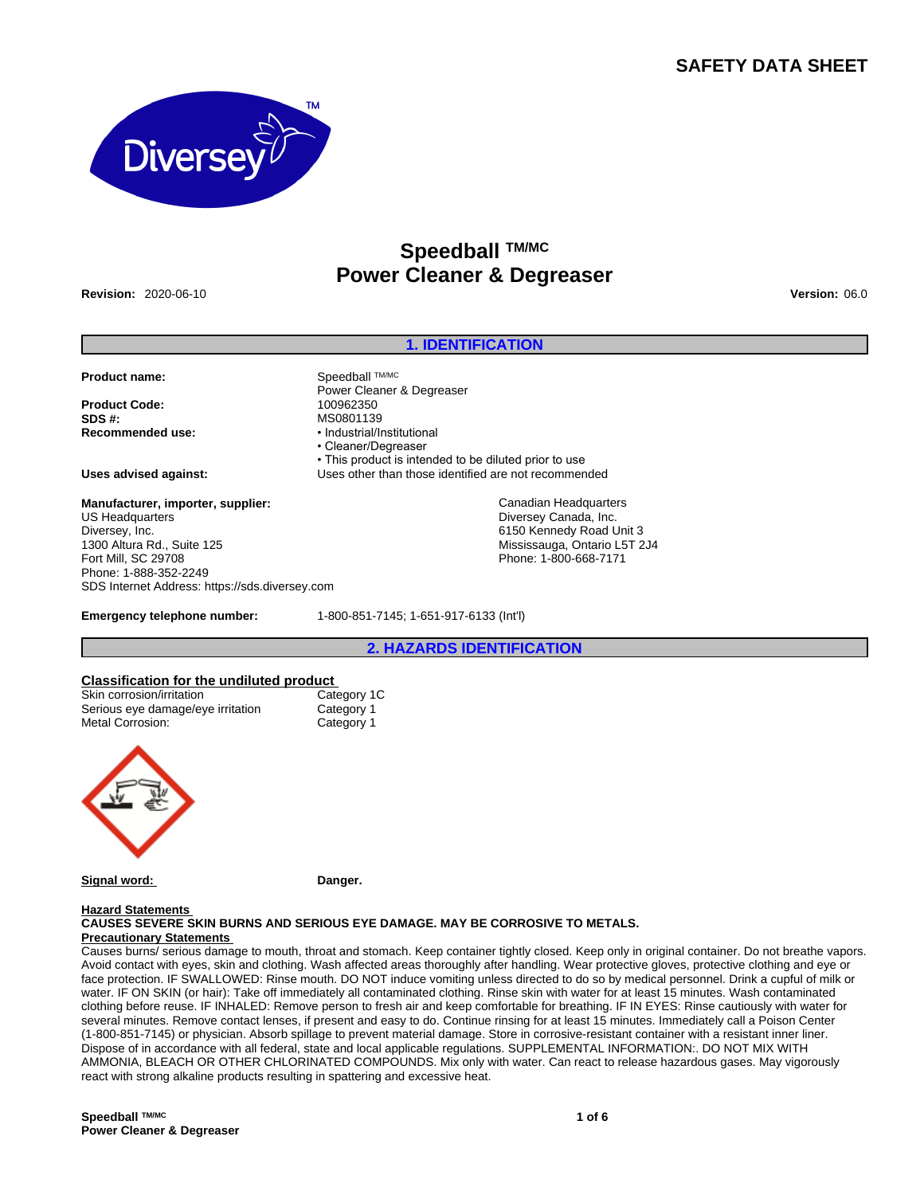## **SAFETY DATA SHEET**



# **Speedball TM/MC Power Cleaner & Degreaser**

**Revision:** 2020-06-10 **Version:** 06.0

## **1. IDENTIFICATION**

**Product name:** Speedball TMMC

**Product Code: SDS #:** MS0801139 **Recommended use:** • Industrial/Institutional

## **Manufacturer, importer, supplier:** US Headquarters Diversey, Inc.

1300 Altura Rd., Suite 125 Fort Mill, SC 29708 Phone: 1-888-352-2249 SDS Internet Address: https://sds.diversey.com

• Cleaner/Degreaser • This product is intended to be diluted prior to use **Uses advised against:** Uses other than those identified are not recommended

Canadian Headquarters Diversey Canada, Inc. 6150 Kennedy Road Unit 3 Mississauga, Ontario L5T 2J4 Phone: 1-800-668-7171

**Emergency telephone number:** 1-800-851-7145; 1-651-917-6133 (Int'l)

Power Cleaner & Degreaser<br>100962350

**2. HAZARDS IDENTIFICATION**

# **Classification for the undiluted product**

| Skin corrosion/irritation         | Category 1C |
|-----------------------------------|-------------|
| Serious eye damage/eye irritation | Category 1  |
| Metal Corrosion:                  | Category 1  |



**Signal word:** Danger.

#### **Hazard Statements**

**CAUSES SEVERE SKIN BURNS AND SERIOUS EYE DAMAGE. MAY BE CORROSIVE TO METALS. Precautionary Statements** 

Causes burns/ serious damage to mouth, throat and stomach. Keep container tightly closed. Keep only in original container. Do not breathe vapors. Avoid contact with eyes, skin and clothing. Wash affected areas thoroughly after handling. Wear protective gloves, protective clothing and eye or face protection. IF SWALLOWED: Rinse mouth. DO NOT induce vomiting unless directed to do so by medical personnel. Drink a cupful of milk or water. IF ON SKIN (or hair): Take off immediately all contaminated clothing. Rinse skin with water for at least 15 minutes. Wash contaminated clothing before reuse. IF INHALED: Remove person to fresh air and keep comfortable for breathing. IF IN EYES: Rinse cautiously with water for several minutes. Remove contact lenses, if present and easy to do. Continue rinsing for at least 15 minutes. Immediately call a Poison Center (1-800-851-7145) or physician. Absorb spillage to prevent material damage. Store in corrosive-resistant container with a resistant inner liner. Dispose of in accordance with all federal, state and local applicable regulations. SUPPLEMENTAL INFORMATION:. DO NOT MIX WITH AMMONIA, BLEACH OR OTHER CHLORINATED COMPOUNDS. Mix only with water. Can react to release hazardous gases. May vigorously react with strong alkaline products resulting in spattering and excessive heat.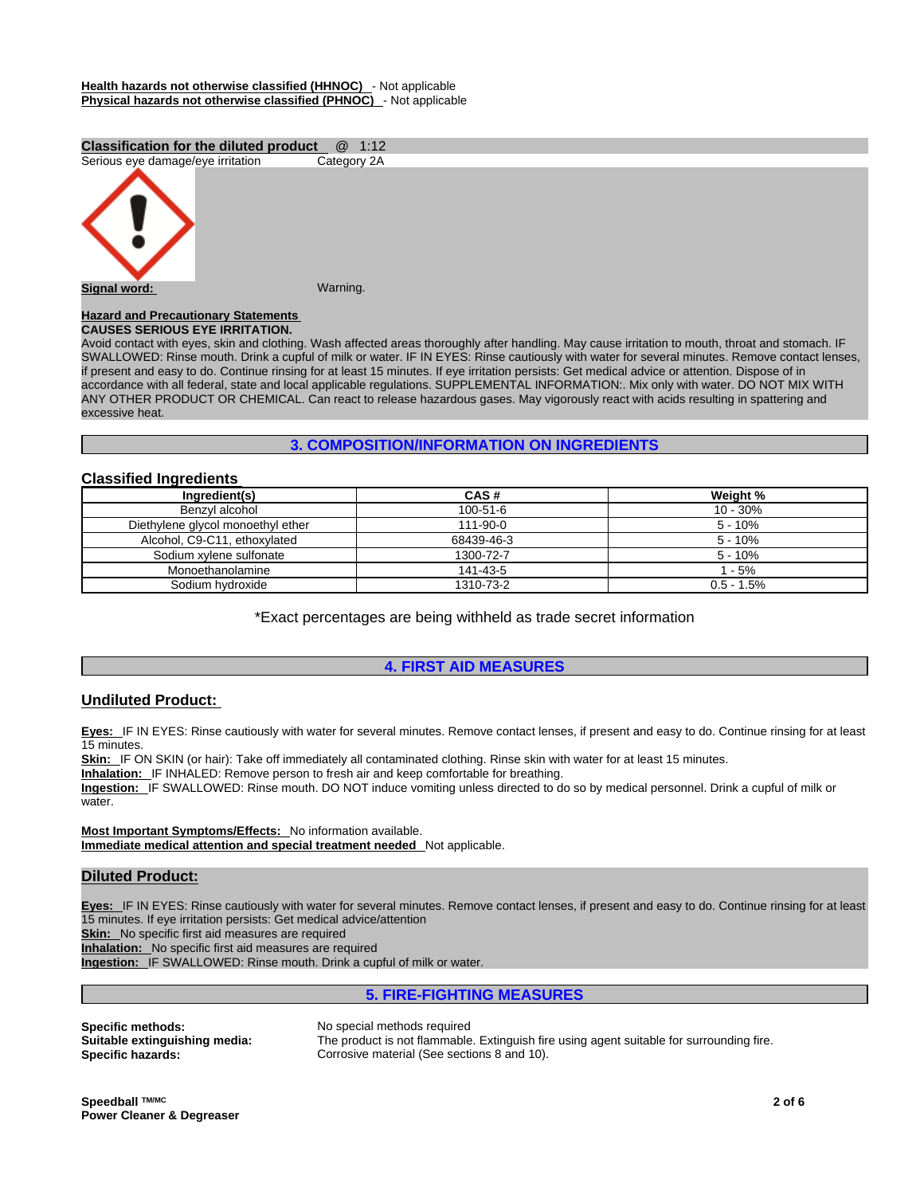#### **Health hazards not otherwise classified (HHNOC)** - Not applicable **Physical hazards not otherwise classified (PHNOC)** - Not applicable

## **Classification for the diluted product** @ 1:12



## **CAUSES SERIOUS EYE IRRITATION.**

Avoid contact with eyes, skin and clothing. Wash affected areas thoroughly after handling. May cause irritation to mouth, throat and stomach. IF SWALLOWED: Rinse mouth. Drink a cupful of milk or water. IF IN EYES: Rinse cautiously with water for several minutes. Remove contact lenses, if present and easy to do. Continue rinsing for at least 15 minutes. If eye irritation persists: Get medical advice or attention. Dispose of in accordance with all federal, state and local applicable regulations. SUPPLEMENTAL INFORMATION:. Mix only with water. DO NOT MIX WITH ANY OTHER PRODUCT OR CHEMICAL. Can react to release hazardous gases. May vigorously react with acids resulting in spattering and<br>excessive heat.

## **3. COMPOSITION/INFORMATION ON INGREDIENTS**

## **Classified Ingredients**

| CAS#           | Weight %      |
|----------------|---------------|
| $100 - 51 - 6$ | $10 - 30%$    |
| $111 - 90 - 0$ | $5 - 10%$     |
| 68439-46-3     | $5 - 10%$     |
| 1300-72-7      | $5 - 10%$     |
| 141-43-5       | 1 - 5%        |
| 1310-73-2      | $0.5 - 1.5\%$ |
|                |               |

\*Exact percentages are being withheld as trade secret information

## **4. FIRST AID MEASURES**

## **Undiluted Product:**

**Eyes:** IF IN EYES: Rinse cautiously with water for several minutes. Remove contact lenses, if present and easy to do. Continue rinsing for at least 15 minutes.

Skin: IF ON SKIN (or hair): Take off immediately all contaminated clothing. Rinse skin with water for at least 15 minutes.

**Inhalation:** IF INHALED: Remove person to fresh air and keep comfortable for breathing.

**Ingestion:** IF SWALLOWED: Rinse mouth. DO NOT induce vomiting unless directed to do so by medical personnel. Drink a cupful of milk or water.

**Most Important Symptoms/Effects:** No information available. **Immediate medical attention and special treatment needed** Not applicable.

## **Diluted Product:**

**Eyes:** IF IN EYES: Rinse cautiously with water for several minutes. Remove contact lenses, if present and easy to do. Continue rinsing for at least 15 minutes. If eye irritation persists: Get medical advice/attention

**Skin:** No specific first aid measures are required

**Inhalation:** No specific first aid measures are required

**Ingestion:** IF SWALLOWED: Rinse mouth. Drink a cupful of milk or water.

**5. FIRE-FIGHTING MEASURES**

**Specific methods: No special methods required**<br>**Suitable extinguishing media:** The product is not flammable

The product is not flammable. Extinguish fire using agent suitable for surrounding fire. **Specific hazards: Corrosive material (See sections 8 and 10).**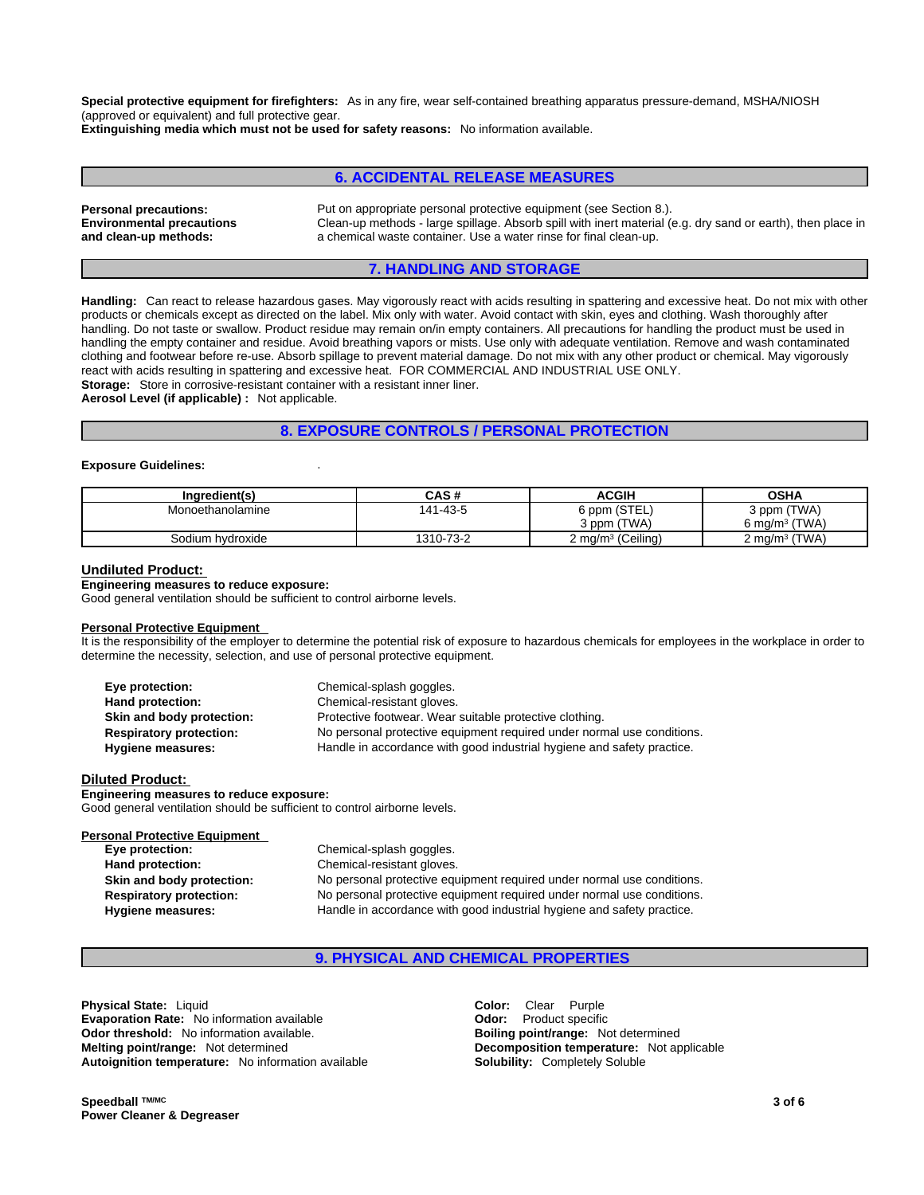**Special protective equipment for firefighters:** As in any fire, wear self-contained breathing apparatus pressure-demand, MSHA/NIOSH (approved or equivalent) and full protective gear.

**Extinguishing media which must not be used for safety reasons:** No information available.

## **6. ACCIDENTAL RELEASE MEASURES**

**Environmental precautions and clean-up methods:** 

**Personal precautions:** Put on appropriate personal protective equipment (see Section 8.). Clean-up methods - large spillage. Absorb spill with inert material (e.g. dry sand or earth), then place in a chemical waste container. Use a water rinse for final clean-up.

## **7. HANDLING AND STORAGE**

**Handling:** Can react to release hazardous gases. May vigorously react with acids resulting in spattering and excessive heat. Do not mix with other products or chemicals except as directed on the label. Mix only with water. Avoid contact with skin, eyes and clothing. Wash thoroughly after handling. Do not taste or swallow. Product residue may remain on/in empty containers. All precautions for handling the product must be used in handling the empty container and residue. Avoid breathing vapors or mists. Use only with adequate ventilation. Remove and wash contaminated clothing and footwear before re-use. Absorb spillage to prevent material damage. Do not mix with any other product or chemical. May vigorously react with acids resulting in spattering and excessive heat. FOR COMMERCIAL AND INDUSTRIAL USE ONLY. **Storage:** Store in corrosive-resistant container with a resistant inner liner.

**Aerosol Level (if applicable) :** Not applicable.

## **8. EXPOSURE CONTROLS / PERSONAL PROTECTION**

#### **Exposure Guidelines:** .

| Ingredient(s)    | CAS#      | <b>ACGIH</b>                 | OSHA                            |
|------------------|-----------|------------------------------|---------------------------------|
| Monoethanolamine | 141-43-5  | 6 ppm (STEL)<br>3 ppm (TWA)  | 3 ppm (TWA)<br>6 mg/m $3$ (TWA) |
| Sodium hydroxide | 1310-73-2 | $2 \text{ mg/m}^3$ (Ceiling) | 2 mg/m <sup>3</sup> (TWA)       |

#### **Undiluted Product:**

#### **Engineering measures to reduce exposure:**

Good general ventilation should be sufficient to control airborne levels.

#### **Personal Protective Equipment**

It is the responsibility of the employer to determine the potential risk of exposure to hazardous chemicals for employees in the workplace in order to determine the necessity, selection, and use of personal protective equipment.

| Eye protection:                | Chemical-splash goggles.                                               |
|--------------------------------|------------------------------------------------------------------------|
| Hand protection:               | Chemical-resistant gloves.                                             |
| Skin and body protection:      | Protective footwear. Wear suitable protective clothing.                |
| <b>Respiratory protection:</b> | No personal protective equipment required under normal use conditions. |
| Hygiene measures:              | Handle in accordance with good industrial hygiene and safety practice. |

#### **Diluted Product:**

**Engineering measures to reduce exposure:** Good general ventilation should be sufficient to control airborne levels.

| <b>Personal Protective Equipment</b> |                                                                        |
|--------------------------------------|------------------------------------------------------------------------|
| Eye protection:                      | Chemical-splash goggles.                                               |
| Hand protection:                     | Chemical-resistant gloves.                                             |
| Skin and body protection:            | No personal protective equipment required under normal use conditions. |
| <b>Respiratory protection:</b>       | No personal protective equipment required under normal use conditions. |
| Hygiene measures:                    | Handle in accordance with good industrial hygiene and safety practice. |

## **9. PHYSICAL AND CHEMICAL PROPERTIES**

**Physical State:** Liquid **Color:** Clear Purple **Evaporation Rate:** No information available **Odor:** Product specific **Odor threshold:** No information available. **Boiling point/range:** Not determined **Melting point/range:** Not determined **Decomposition temperature:** Not applicable **Autoignition temperature:** No information available **Solubility:** Completely Soluble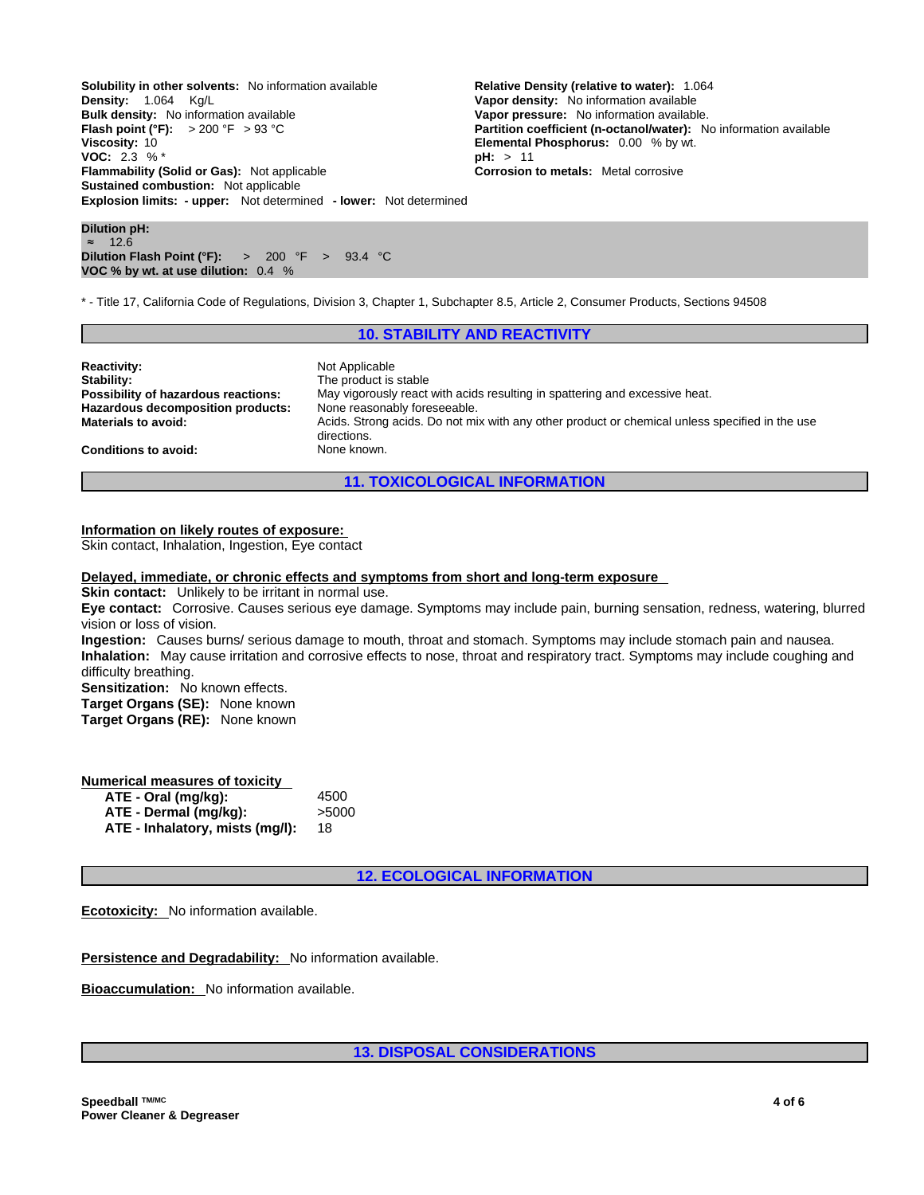**Explosion limits: - upper:** Not determined **- lower:** Not determined **Solubility in other solvents:** No information available **Relative Density (relative to water):** 1.064 <br>**Density:** 1.064 Kg/L<br>**Vapor density:** No information available **Bulk density:** No information available **Vapor pressure:** No information available.<br>**Flash point (°F):**  $>$  200 °F  $>$  93 °C **Partition coefficient (n-octanol/water):** N **Viscosity:** 10 **Viscosity:** 10 **Elemental Phosphorus:** 0.00 % by wt.<br> **VOC:** 2.3 % \* **VOC:** 2.3 % \* **Flammability (Solid or Gas):** Not applicable **Corrosion to metals:** Metal corrosive **Sustained combustion:** Not applicable

**Vapor density:** No information available **Partition coefficient (n-octanol/water):** No information available

**Dilution pH:** ≈ 12.6 **Dilution Flash Point (°F):** > 200 °F > 93.4 °C **VOC % by wt. at use dilution:** 0.4 %

\* - Title 17, California Code of Regulations, Division 3, Chapter 1, Subchapter 8.5, Article 2, Consumer Products, Sections 94508

## **10. STABILITY AND REACTIVITY**

| <b>Reactivity:</b>                  | Not Applicable                                                                                 |
|-------------------------------------|------------------------------------------------------------------------------------------------|
| Stability:                          | The product is stable                                                                          |
| Possibility of hazardous reactions: | May vigorously react with acids resulting in spattering and excessive heat.                    |
| Hazardous decomposition products:   | None reasonably foreseeable.                                                                   |
| <b>Materials to avoid:</b>          | Acids. Strong acids. Do not mix with any other product or chemical unless specified in the use |
| <b>Conditions to avoid:</b>         | directions.<br>None known.                                                                     |

**11. TOXICOLOGICAL INFORMATION**

#### **Information on likely routes of exposure:**

Skin contact, Inhalation, Ingestion, Eye contact

#### **Delayed, immediate, or chronic effects and symptoms from short and long-term exposure**

**Skin contact:** Unlikely to be irritant in normal use.

**Eye contact:** Corrosive. Causes serious eye damage. Symptoms may include pain, burning sensation, redness, watering, blurred vision or loss of vision.

**Ingestion:** Causes burns/ serious damage to mouth, throat and stomach. Symptoms may include stomach pain and nausea. **Inhalation:** May cause irritation and corrosive effects to nose, throat and respiratory tract. Symptoms may include coughing and difficulty breathing.

**Sensitization:** No known effects.

**Target Organs (SE):** None known

**Target Organs (RE):** None known

## **Numerical measures of toxicity**

| ATE - Oral (mg/kg):             | 4500  |
|---------------------------------|-------|
| ATE - Dermal (mg/kg):           | >5000 |
| ATE - Inhalatory, mists (mg/l): | 18    |

**12. ECOLOGICAL INFORMATION**

**Ecotoxicity:** No information available.

**Persistence and Degradability:** No information available.

**Bioaccumulation:** No information available.

**13. DISPOSAL CONSIDERATIONS**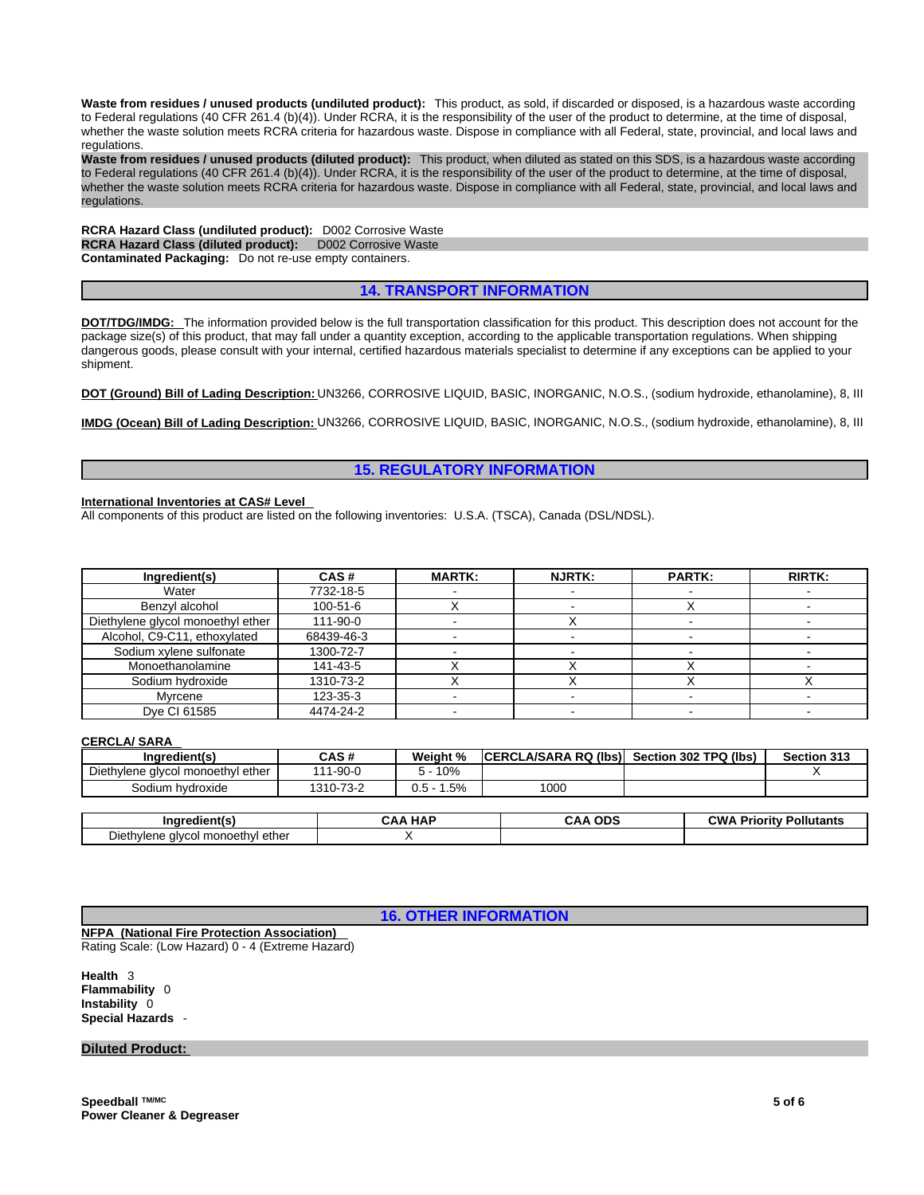**Waste from residues / unused products (undiluted product):** This product, as sold, if discarded or disposed, is a hazardous waste according to Federal regulations (40 CFR 261.4 (b)(4)). Under RCRA, it is the responsibility of the user of the product to determine, at the time of disposal, whether the waste solution meets RCRA criteria for hazardous waste. Dispose in compliance with all Federal, state, provincial, and local laws and regulations.

**Waste from residues / unused products (diluted product):** This product, when diluted as stated on this SDS, is a hazardous waste according to Federal regulations (40 CFR 261.4 (b)(4)). Under RCRA, it is the responsibility of the user of the product to determine, at the time of disposal, whether the waste solution meets RCRA criteria for hazardous waste. Dispose in compliance with all Federal, state, provincial, and local laws and<br>regulations.

**RCRA Hazard Class (undiluted product):** D002 Corrosive Waste **RCRA Hazard Class (diluted product):** D002 Corrosive Waste **Contaminated Packaging:** Do not re-use empty containers.

## **14. TRANSPORT INFORMATION**

**DOT/TDG/IMDG:** The information provided below is the full transportation classification for this product. This description does not account for the package size(s) of this product, that may fall under a quantity exception, according to the applicable transportation regulations. When shipping dangerous goods, please consult with your internal, certified hazardous materials specialist to determine if any exceptions can be applied to your shipment.

**DOT (Ground) Bill of Lading Description:** UN3266, CORROSIVE LIQUID, BASIC, INORGANIC, N.O.S., (sodium hydroxide, ethanolamine), 8, III

**IMDG (Ocean) Bill of Lading Description:** UN3266, CORROSIVE LIQUID, BASIC, INORGANIC, N.O.S., (sodium hydroxide, ethanolamine), 8, III

## **15. REGULATORY INFORMATION**

#### **International Inventories at CAS# Level**

All components of this product are listed on the following inventories: U.S.A. (TSCA), Canada (DSL/NDSL).

| Ingredient(s)                     | CAS#           | <b>MARTK:</b> | <b>NJRTK:</b> | <b>PARTK:</b> | <b>RIRTK:</b> |
|-----------------------------------|----------------|---------------|---------------|---------------|---------------|
| Water                             | 7732-18-5      |               |               |               |               |
| Benzyl alcohol                    | $100 - 51 - 6$ |               |               |               |               |
| Diethylene glycol monoethyl ether | 111-90-0       |               |               |               |               |
| Alcohol, C9-C11, ethoxylated      | 68439-46-3     |               |               |               |               |
| Sodium xylene sulfonate           | 1300-72-7      |               |               |               |               |
| Monoethanolamine                  | 141-43-5       |               |               |               |               |
| Sodium hydroxide                  | 1310-73-2      |               |               |               |               |
| Mvrcene                           | 123-35-3       |               |               |               |               |
| Dye CI 61585                      | 4474-24-2      |               |               |               |               |

#### **CERCLA/ SARA**

| Ingredient(s)                     | CAS#           | Weight %       | ICERCLA/SARA RQ (Ibs) Section 302 TPQ (Ibs) | <b>Section 313</b>             |
|-----------------------------------|----------------|----------------|---------------------------------------------|--------------------------------|
| Diethylene glycol monoethyl ether | $111 - 90 - 0$ | 5 - 10%        |                                             |                                |
| Sodium hydroxide                  | 1310-73-2      | $0.5 - 1.5%$   | 1000                                        |                                |
|                                   |                |                |                                             |                                |
| Ingredient(s)                     |                | <b>CAA HAP</b> | <b>CAA ODS</b>                              | <b>CWA Priority Pollutants</b> |
| Diethylene alvcol monoethyl ether |                |                |                                             |                                |

**16. OTHER INFORMATION**

**NFPA (National Fire Protection Association)**  Rating Scale: (Low Hazard) 0 - 4 (Extreme Hazard)

**Health** 3 **Flammability** 0 **Instability** 0 **Special Hazards** -

## **Diluted Product:**